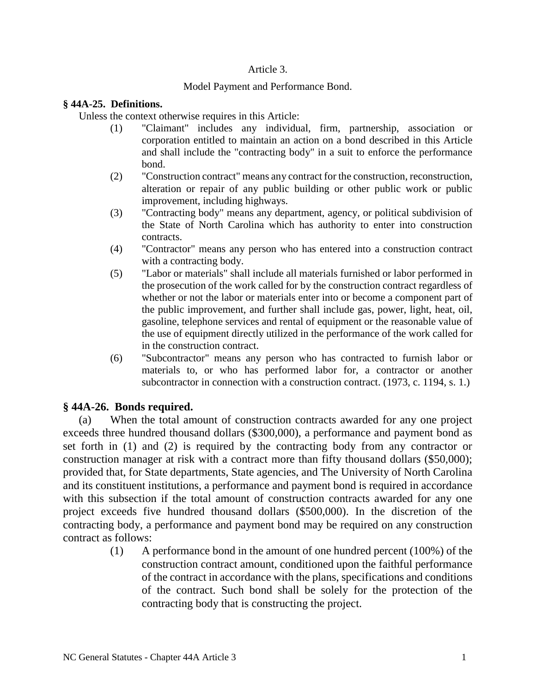# Article 3.

# Model Payment and Performance Bond.

# **§ 44A-25. Definitions.**

Unless the context otherwise requires in this Article:

- (1) "Claimant" includes any individual, firm, partnership, association or corporation entitled to maintain an action on a bond described in this Article and shall include the "contracting body" in a suit to enforce the performance bond.
- (2) "Construction contract" means any contract for the construction, reconstruction, alteration or repair of any public building or other public work or public improvement, including highways.
- (3) "Contracting body" means any department, agency, or political subdivision of the State of North Carolina which has authority to enter into construction contracts.
- (4) "Contractor" means any person who has entered into a construction contract with a contracting body.
- (5) "Labor or materials" shall include all materials furnished or labor performed in the prosecution of the work called for by the construction contract regardless of whether or not the labor or materials enter into or become a component part of the public improvement, and further shall include gas, power, light, heat, oil, gasoline, telephone services and rental of equipment or the reasonable value of the use of equipment directly utilized in the performance of the work called for in the construction contract.
- (6) "Subcontractor" means any person who has contracted to furnish labor or materials to, or who has performed labor for, a contractor or another subcontractor in connection with a construction contract. (1973, c. 1194, s. 1.)

# **§ 44A-26. Bonds required.**

(a) When the total amount of construction contracts awarded for any one project exceeds three hundred thousand dollars (\$300,000), a performance and payment bond as set forth in (1) and (2) is required by the contracting body from any contractor or construction manager at risk with a contract more than fifty thousand dollars (\$50,000); provided that, for State departments, State agencies, and The University of North Carolina and its constituent institutions, a performance and payment bond is required in accordance with this subsection if the total amount of construction contracts awarded for any one project exceeds five hundred thousand dollars (\$500,000). In the discretion of the contracting body, a performance and payment bond may be required on any construction contract as follows:

> (1) A performance bond in the amount of one hundred percent (100%) of the construction contract amount, conditioned upon the faithful performance of the contract in accordance with the plans, specifications and conditions of the contract. Such bond shall be solely for the protection of the contracting body that is constructing the project.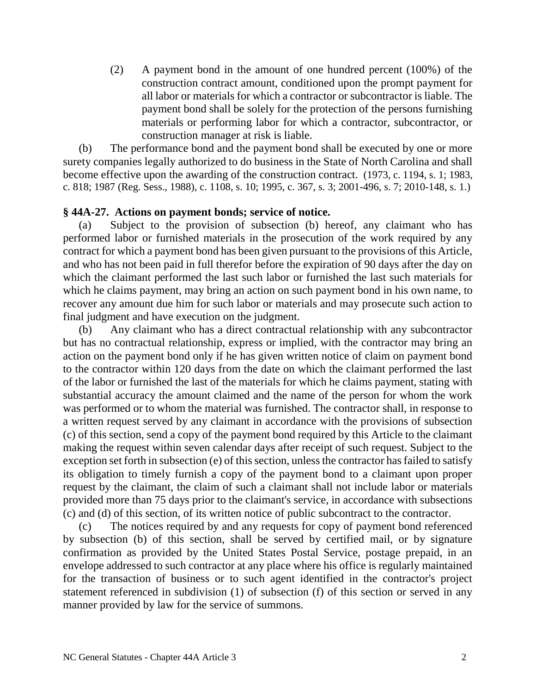(2) A payment bond in the amount of one hundred percent (100%) of the construction contract amount, conditioned upon the prompt payment for all labor or materials for which a contractor or subcontractor is liable. The payment bond shall be solely for the protection of the persons furnishing materials or performing labor for which a contractor, subcontractor, or construction manager at risk is liable.

(b) The performance bond and the payment bond shall be executed by one or more surety companies legally authorized to do business in the State of North Carolina and shall become effective upon the awarding of the construction contract. (1973, c. 1194, s. 1; 1983, c. 818; 1987 (Reg. Sess., 1988), c. 1108, s. 10; 1995, c. 367, s. 3; 2001-496, s. 7; 2010-148, s. 1.)

# **§ 44A-27. Actions on payment bonds; service of notice.**

(a) Subject to the provision of subsection (b) hereof, any claimant who has performed labor or furnished materials in the prosecution of the work required by any contract for which a payment bond has been given pursuant to the provisions of this Article, and who has not been paid in full therefor before the expiration of 90 days after the day on which the claimant performed the last such labor or furnished the last such materials for which he claims payment, may bring an action on such payment bond in his own name, to recover any amount due him for such labor or materials and may prosecute such action to final judgment and have execution on the judgment.

(b) Any claimant who has a direct contractual relationship with any subcontractor but has no contractual relationship, express or implied, with the contractor may bring an action on the payment bond only if he has given written notice of claim on payment bond to the contractor within 120 days from the date on which the claimant performed the last of the labor or furnished the last of the materials for which he claims payment, stating with substantial accuracy the amount claimed and the name of the person for whom the work was performed or to whom the material was furnished. The contractor shall, in response to a written request served by any claimant in accordance with the provisions of subsection (c) of this section, send a copy of the payment bond required by this Article to the claimant making the request within seven calendar days after receipt of such request. Subject to the exception set forth in subsection (e) of this section, unless the contractor has failed to satisfy its obligation to timely furnish a copy of the payment bond to a claimant upon proper request by the claimant, the claim of such a claimant shall not include labor or materials provided more than 75 days prior to the claimant's service, in accordance with subsections (c) and (d) of this section, of its written notice of public subcontract to the contractor.

(c) The notices required by and any requests for copy of payment bond referenced by subsection (b) of this section, shall be served by certified mail, or by signature confirmation as provided by the United States Postal Service, postage prepaid, in an envelope addressed to such contractor at any place where his office is regularly maintained for the transaction of business or to such agent identified in the contractor's project statement referenced in subdivision (1) of subsection (f) of this section or served in any manner provided by law for the service of summons.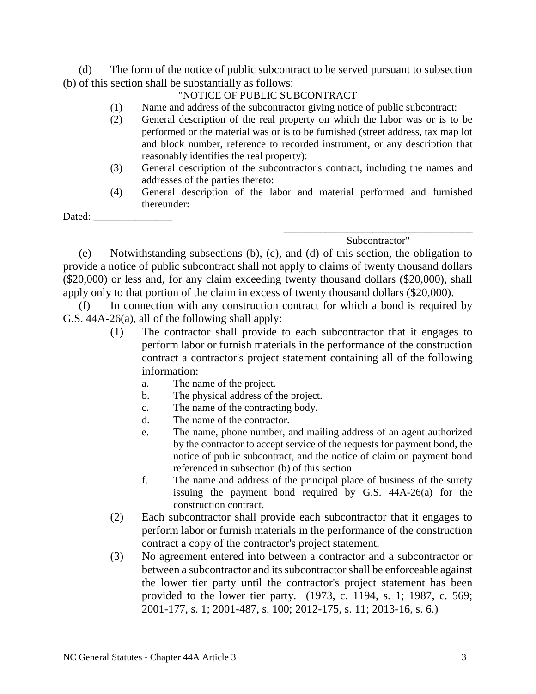(d) The form of the notice of public subcontract to be served pursuant to subsection (b) of this section shall be substantially as follows:

# "NOTICE OF PUBLIC SUBCONTRACT

- (1) Name and address of the subcontractor giving notice of public subcontract:
- (2) General description of the real property on which the labor was or is to be performed or the material was or is to be furnished (street address, tax map lot and block number, reference to recorded instrument, or any description that reasonably identifies the real property):
- (3) General description of the subcontractor's contract, including the names and addresses of the parties thereto:
- (4) General description of the labor and material performed and furnished thereunder:

Dated:

\_\_\_\_\_\_\_\_\_\_\_\_\_\_\_\_\_\_\_\_\_\_\_\_\_\_\_\_\_\_\_\_\_\_\_\_ Subcontractor"

(e) Notwithstanding subsections (b), (c), and (d) of this section, the obligation to provide a notice of public subcontract shall not apply to claims of twenty thousand dollars (\$20,000) or less and, for any claim exceeding twenty thousand dollars (\$20,000), shall apply only to that portion of the claim in excess of twenty thousand dollars (\$20,000).

(f) In connection with any construction contract for which a bond is required by G.S. 44A-26(a), all of the following shall apply:

- (1) The contractor shall provide to each subcontractor that it engages to perform labor or furnish materials in the performance of the construction contract a contractor's project statement containing all of the following information:
	- a. The name of the project.
	- b. The physical address of the project.
	- c. The name of the contracting body.
	- d. The name of the contractor.
	- e. The name, phone number, and mailing address of an agent authorized by the contractor to accept service of the requests for payment bond, the notice of public subcontract, and the notice of claim on payment bond referenced in subsection (b) of this section.
	- f. The name and address of the principal place of business of the surety issuing the payment bond required by G.S. 44A-26(a) for the construction contract.
- (2) Each subcontractor shall provide each subcontractor that it engages to perform labor or furnish materials in the performance of the construction contract a copy of the contractor's project statement.
- (3) No agreement entered into between a contractor and a subcontractor or between a subcontractor and its subcontractor shall be enforceable against the lower tier party until the contractor's project statement has been provided to the lower tier party. (1973, c. 1194, s. 1; 1987, c. 569; 2001-177, s. 1; 2001-487, s. 100; 2012-175, s. 11; 2013-16, s. 6.)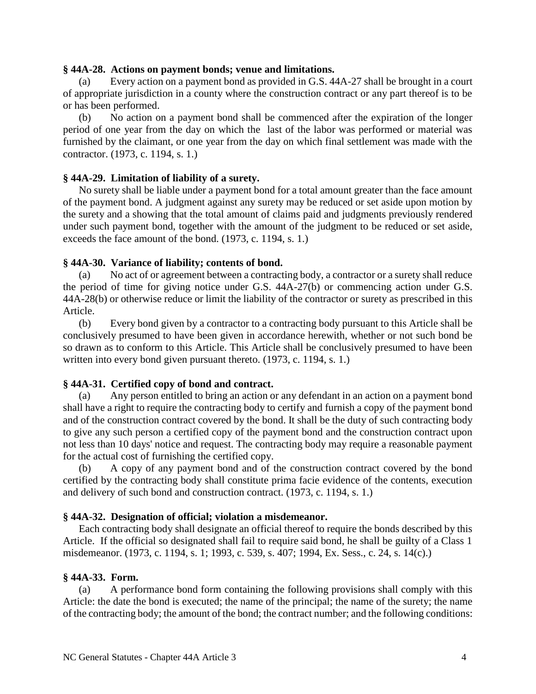#### **§ 44A-28. Actions on payment bonds; venue and limitations.**

(a) Every action on a payment bond as provided in G.S. 44A-27 shall be brought in a court of appropriate jurisdiction in a county where the construction contract or any part thereof is to be or has been performed.

(b) No action on a payment bond shall be commenced after the expiration of the longer period of one year from the day on which the last of the labor was performed or material was furnished by the claimant, or one year from the day on which final settlement was made with the contractor. (1973, c. 1194, s. 1.)

## **§ 44A-29. Limitation of liability of a surety.**

No surety shall be liable under a payment bond for a total amount greater than the face amount of the payment bond. A judgment against any surety may be reduced or set aside upon motion by the surety and a showing that the total amount of claims paid and judgments previously rendered under such payment bond, together with the amount of the judgment to be reduced or set aside, exceeds the face amount of the bond. (1973, c. 1194, s. 1.)

## **§ 44A-30. Variance of liability; contents of bond.**

(a) No act of or agreement between a contracting body, a contractor or a surety shall reduce the period of time for giving notice under G.S. 44A-27(b) or commencing action under G.S. 44A-28(b) or otherwise reduce or limit the liability of the contractor or surety as prescribed in this Article.

(b) Every bond given by a contractor to a contracting body pursuant to this Article shall be conclusively presumed to have been given in accordance herewith, whether or not such bond be so drawn as to conform to this Article. This Article shall be conclusively presumed to have been written into every bond given pursuant thereto. (1973, c. 1194, s. 1.)

# **§ 44A-31. Certified copy of bond and contract.**

(a) Any person entitled to bring an action or any defendant in an action on a payment bond shall have a right to require the contracting body to certify and furnish a copy of the payment bond and of the construction contract covered by the bond. It shall be the duty of such contracting body to give any such person a certified copy of the payment bond and the construction contract upon not less than 10 days' notice and request. The contracting body may require a reasonable payment for the actual cost of furnishing the certified copy.

(b) A copy of any payment bond and of the construction contract covered by the bond certified by the contracting body shall constitute prima facie evidence of the contents, execution and delivery of such bond and construction contract. (1973, c. 1194, s. 1.)

## **§ 44A-32. Designation of official; violation a misdemeanor.**

Each contracting body shall designate an official thereof to require the bonds described by this Article. If the official so designated shall fail to require said bond, he shall be guilty of a Class 1 misdemeanor. (1973, c. 1194, s. 1; 1993, c. 539, s. 407; 1994, Ex. Sess., c. 24, s. 14(c).)

## **§ 44A-33. Form.**

(a) A performance bond form containing the following provisions shall comply with this Article: the date the bond is executed; the name of the principal; the name of the surety; the name of the contracting body; the amount of the bond; the contract number; and the following conditions: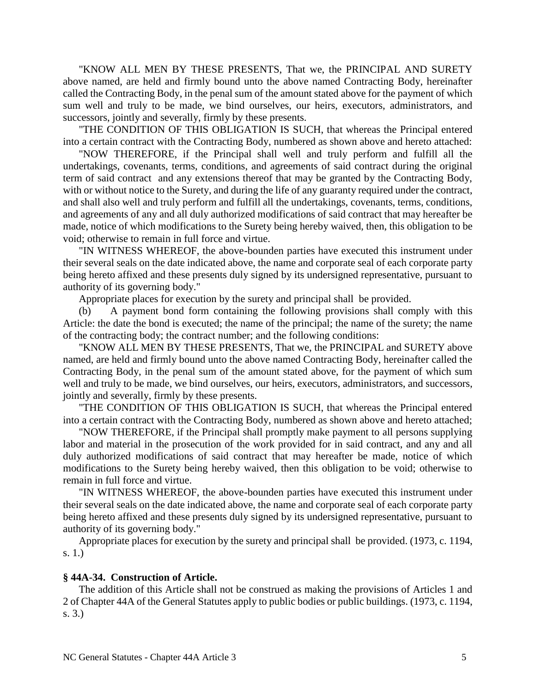"KNOW ALL MEN BY THESE PRESENTS, That we, the PRINCIPAL AND SURETY above named, are held and firmly bound unto the above named Contracting Body, hereinafter called the Contracting Body, in the penal sum of the amount stated above for the payment of which sum well and truly to be made, we bind ourselves, our heirs, executors, administrators, and successors, jointly and severally, firmly by these presents.

"THE CONDITION OF THIS OBLIGATION IS SUCH, that whereas the Principal entered into a certain contract with the Contracting Body, numbered as shown above and hereto attached:

"NOW THEREFORE, if the Principal shall well and truly perform and fulfill all the undertakings, covenants, terms, conditions, and agreements of said contract during the original term of said contract and any extensions thereof that may be granted by the Contracting Body, with or without notice to the Surety, and during the life of any guaranty required under the contract, and shall also well and truly perform and fulfill all the undertakings, covenants, terms, conditions, and agreements of any and all duly authorized modifications of said contract that may hereafter be made, notice of which modifications to the Surety being hereby waived, then, this obligation to be void; otherwise to remain in full force and virtue.

"IN WITNESS WHEREOF, the above-bounden parties have executed this instrument under their several seals on the date indicated above, the name and corporate seal of each corporate party being hereto affixed and these presents duly signed by its undersigned representative, pursuant to authority of its governing body."

Appropriate places for execution by the surety and principal shall be provided.

(b) A payment bond form containing the following provisions shall comply with this Article: the date the bond is executed; the name of the principal; the name of the surety; the name of the contracting body; the contract number; and the following conditions:

"KNOW ALL MEN BY THESE PRESENTS, That we, the PRINCIPAL and SURETY above named, are held and firmly bound unto the above named Contracting Body, hereinafter called the Contracting Body, in the penal sum of the amount stated above, for the payment of which sum well and truly to be made, we bind ourselves, our heirs, executors, administrators, and successors, jointly and severally, firmly by these presents.

"THE CONDITION OF THIS OBLIGATION IS SUCH, that whereas the Principal entered into a certain contract with the Contracting Body, numbered as shown above and hereto attached;

"NOW THEREFORE, if the Principal shall promptly make payment to all persons supplying labor and material in the prosecution of the work provided for in said contract, and any and all duly authorized modifications of said contract that may hereafter be made, notice of which modifications to the Surety being hereby waived, then this obligation to be void; otherwise to remain in full force and virtue.

"IN WITNESS WHEREOF, the above-bounden parties have executed this instrument under their several seals on the date indicated above, the name and corporate seal of each corporate party being hereto affixed and these presents duly signed by its undersigned representative, pursuant to authority of its governing body."

Appropriate places for execution by the surety and principal shall be provided. (1973, c. 1194, s. 1.)

#### **§ 44A-34. Construction of Article.**

The addition of this Article shall not be construed as making the provisions of Articles 1 and 2 of Chapter 44A of the General Statutes apply to public bodies or public buildings. (1973, c. 1194, s. 3.)